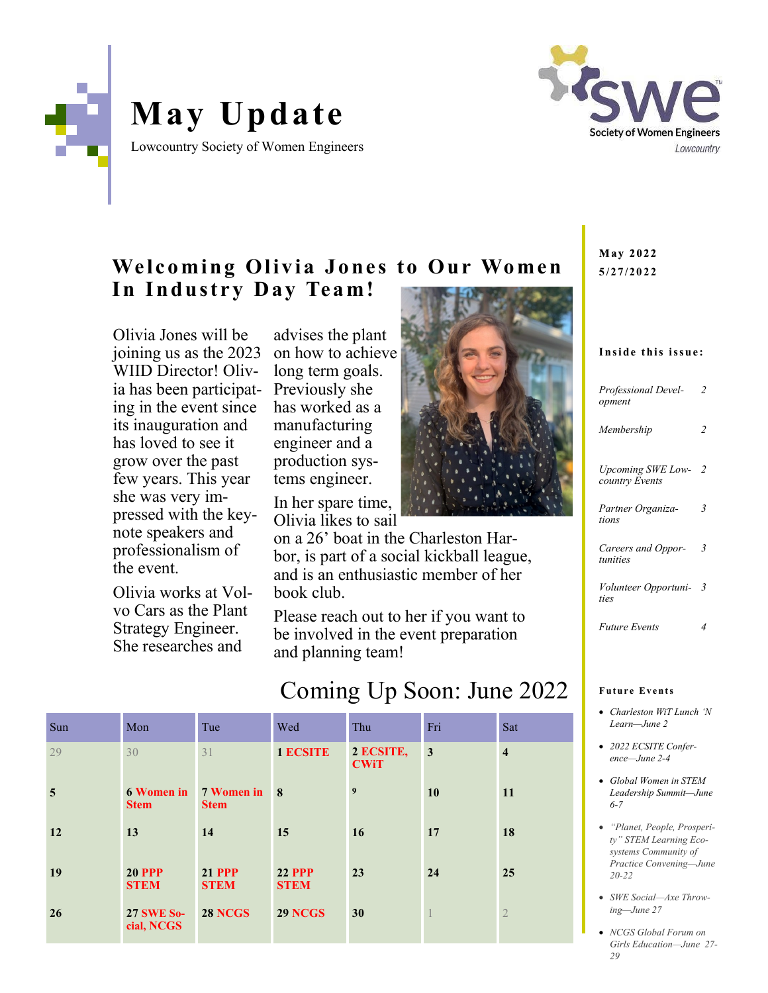

# **May Update**

Lowcountry Society of Women Engineers



### **Welcoming Olivia Jones to Our Women** In Industry Day Team!

Olivia Jones will be joining us as the 2023 WIID Director! Olivia has been participating in the event since its inauguration and has loved to see it grow over the past few years. This year she was very impressed with the keynote speakers and professionalism of the event.

Olivia works at Volvo Cars as the Plant Strategy Engineer. She researches and

advises the plant on how to achieve long term goals. Previously she has worked as a manufacturing engineer and a production systems engineer.

In her spare time, Olivia likes to sail

on a 26' boat in the Charleston Harbor, is part of a social kickball league, and is an enthusiastic member of her book club.

Please reach out to her if you want to be involved in the event preparation and planning team!

# Coming Up Soon: June 2022

| Sun | Mon                              | Tue                          | Wed                          | Thu                      | Fri          | Sat                     |
|-----|----------------------------------|------------------------------|------------------------------|--------------------------|--------------|-------------------------|
| 29  | 30                               | 31                           | <b>1 ECSITE</b>              | 2 ECSITE,<br><b>CWiT</b> | $\mathbf{3}$ | $\overline{\mathbf{4}}$ |
| 5   | <b>6 Women in</b><br><b>Stem</b> | 7 Women in 8<br><b>Stem</b>  |                              | $\boldsymbol{9}$         | 10           | 11                      |
| 12  | 13                               | 14                           | 15                           | 16                       | 17           | 18                      |
| 19  | <b>20 PPP</b><br><b>STEM</b>     | <b>21 PPP</b><br><b>STEM</b> | <b>22 PPP</b><br><b>STEM</b> | 23                       | 24           | 25                      |
| 26  | <b>27 SWE So-</b><br>cial, NCGS  | <b>28 NCGS</b>               | <b>29 NCGS</b>               | 30                       | -            | $\overline{2}$          |

May 2022 **5 /2 7 /2 0 2 2**

### Inside this issue:

| Professional Devel-<br>opment              | $\overline{\mathcal{L}}$ |
|--------------------------------------------|--------------------------|
| Membership                                 | $\overline{c}$           |
| <b>Upcoming SWE Low-</b><br>country Events | $\mathcal{L}$            |
| Partner Organiza-<br>tions                 | 3                        |
| Careers and Oppor-<br>tunities             | 3                        |
| <i>Volunteer Opportuni-</i><br>ties        | 3                        |
| <b>Future Events</b>                       | 4                        |

### **Future Events**

- *Charleston WiT Lunch 'N Learn—June 2*
- *2022 ECSITE Conference—June 2-4*
- *Global Women in STEM Leadership Summit—June 6-7*
- *"Planet, People, Prosperity" STEM Learning Ecosystems Community of Practice Convening—June 20-22*
- *SWE Social—Axe Throwing—June 27*
- *NCGS Global Forum on Girls Education—June 27- 29*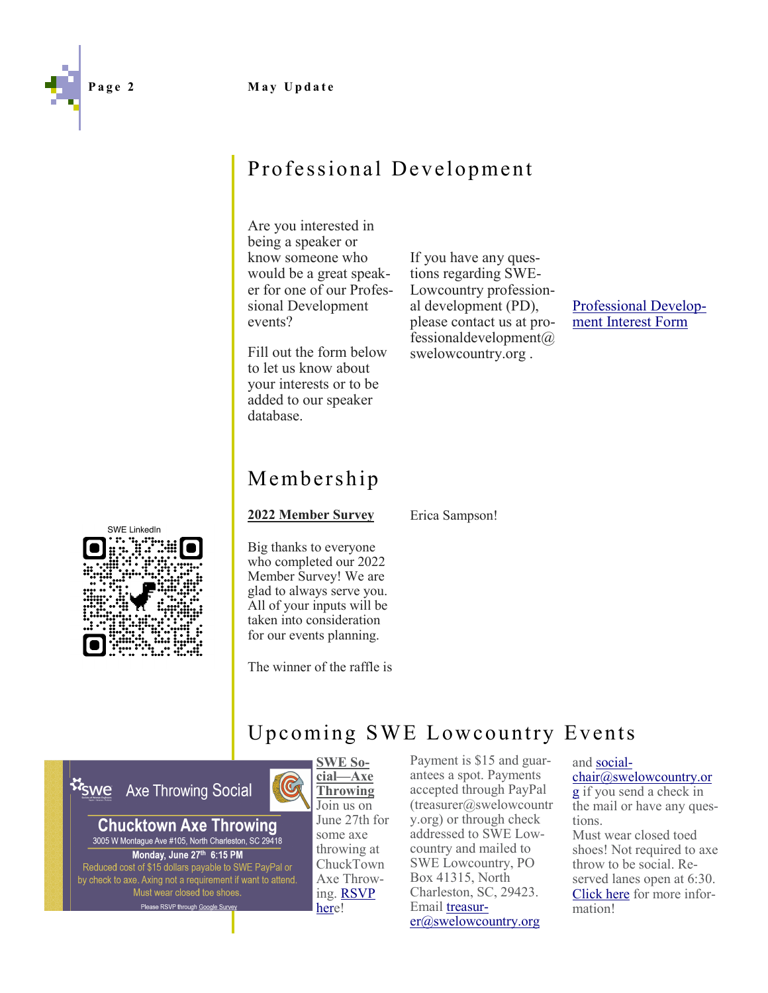### **Page 2 May Update**



Are you interested in being a speaker or know someone who would be a great speaker for one of our Professional Development events?

Fill out the form below to let us know about your interests or to be added to our speaker database.

If you have any questions regarding SWE-Lowcountry professional development (PD), please contact us at professionaldevelopment $\omega$ swelowcountry.org .

[Professional Develop](https://docs.google.com/forms/d/e/1FAIpQLScAQCmGw8QAYgmTpyXpBVUiC2N3umZxFs9cKmR5IvRJXoNaJw/viewform)[ment Interest Form](https://docs.google.com/forms/d/e/1FAIpQLScAQCmGw8QAYgmTpyXpBVUiC2N3umZxFs9cKmR5IvRJXoNaJw/viewform)

# Membership

**2022 Member Survey**

Erica Sampson!



Big thanks to everyone who completed our 2022 Member Survey! We are glad to always serve you. All of your inputs will be taken into consideration for our events planning.

The winner of the raffle is

 $\mathbb G$ 

# Upcoming SWE Lowcountry Events

**M**swe **Axe Throwing Social** 





Payment is \$15 and guarantees a spot. Payments accepted through PayPal  $(t$ reasurer@swelowcountr y.org) or through check addressed to SWE Lowcountry and mailed to SWE Lowcountry, PO Box 41315, North Charleston, SC, 29423. Email [treasur](mailto:treasurer@swelowcountry.org?subject=Axe%20Throwing%20Social)[er@swelowcountry.org](mailto:treasurer@swelowcountry.org?subject=Axe%20Throwing%20Social)

### and [social-](mailto:socialchair@swelowcountry.org?subject=Axe%20Throwing%20Social)

[chair@swelowcountry.or](mailto:socialchair@swelowcountry.org?subject=Axe%20Throwing%20Social) [g](mailto:socialchair@swelowcountry.org?subject=Axe%20Throwing%20Social) if you send a check in the mail or have any questions. Must wear closed toed shoes! Not required to axe throw to be social. Re-

served lanes open at 6:30. [Click here](chucktownaxethrowing.com) for more information!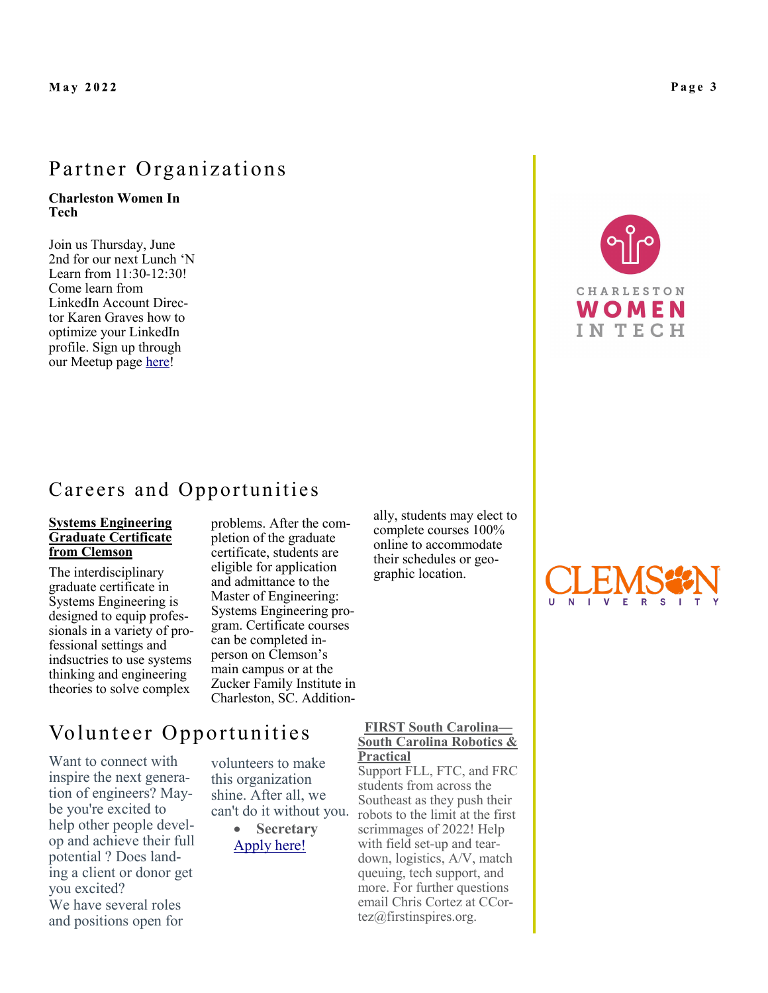### Partner Organizations

### **Charleston Women In Tech**

Join us Thursday, June 2nd for our next Lunch 'N Learn from 11:30-12:30! Come learn from LinkedIn Account Director Karen Graves how to optimize your LinkedIn profile. Sign up through our Meetup page [here!](https://www.meetup.com/Charleston-Women-In-Tech/events/286110904/)



### Careers and Opportunities

### **Systems Engineering Graduate Certificate from Clemson**

The interdisciplinary graduate certificate in Systems Engineering is designed to equip professionals in a variety of professional settings and indsuctries to use systems thinking and engineering theories to solve complex

problems. After the completion of the graduate certificate, students are eligible for application and admittance to the Master of Engineering: Systems Engineering program. Certificate courses can be completed inperson on Clemson's main campus or at the Zucker Family Institute in Charleston, SC. Additionally, students may elect to complete courses 100% online to accommodate their schedules or geographic location.



### Volunteer Opportunities **FIRST South Carolina—**

Want to connect with inspire the next generation of engineers? Maybe you're excited to help other people develop and achieve their full potential ? Does landing a client or donor get you excited? We have several roles and positions open for

volunteers to make this organization shine. After all, we can't do it without you.

> • **Secretary** [Apply here!](https://docs.google.com/forms/d/e/1FAIpQLSf1SsEfuQwXn2dIwHafF9CW8oM58wf7smCY1jiOL3OiPL_LaA/viewform)

### **South Carolina Robotics & Practical**

Support FLL, FTC, and FRC students from across the Southeast as they push their robots to the limit at the first scrimmages of 2022! Help with field set-up and teardown, logistics, A/V, match queuing, tech support, and more. For further questions email Chris Cortez at CCortez@firstinspires.org.